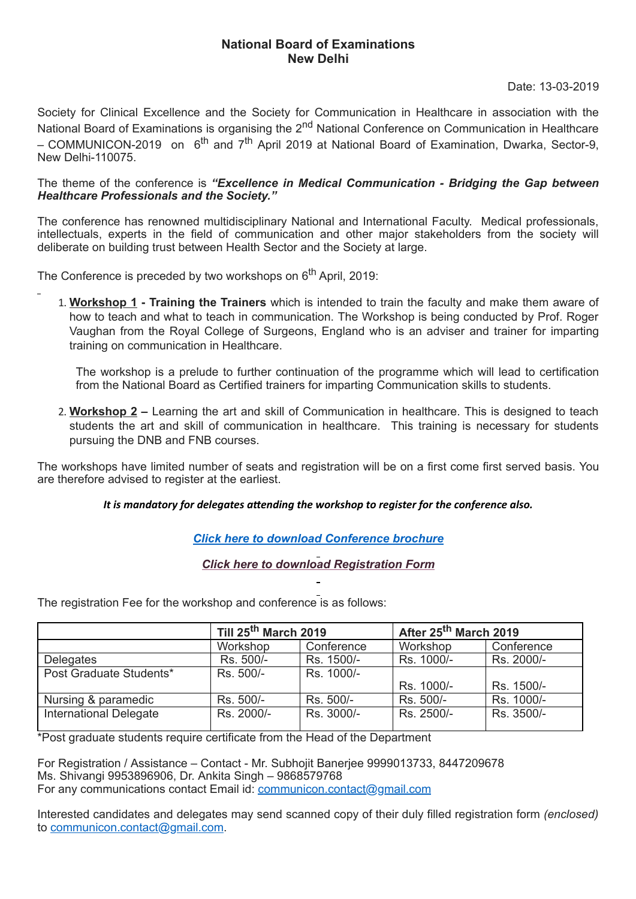## **National Board of Examinations New Delhi**

Date: 13-03-2019

Society for Clinical Excellence and the Society for Communication in Healthcare in association with the National Board of Examinations is organising the 2<sup>nd</sup> National Conference on Communication in Healthcare – COMMUNICON-2019 on 6<sup>th</sup> and 7<sup>th</sup> April 2019 at National Board of Examination, Dwarka, Sector-9, New Delhi-110075.

## The theme of the conference is *"Excellence in Medical Communication - Bridging the Gap between Healthcare Professionals and the Society."*

The conference has renowned multidisciplinary National and International Faculty. Medical professionals, intellectuals, experts in the field of communication and other major stakeholders from the society will deliberate on building trust between Health Sector and the Society at large.

The Conference is preceded by two workshops on 6<sup>th</sup> April, 2019:

1. **Workshop 1 - Training the Trainers** which is intended to train the faculty and make them aware of how to teach and what to teach in communication. The Workshop is being conducted by Prof. Roger Vaughan from the Royal College of Surgeons, England who is an adviser and trainer for imparting training on communication in Healthcare.

The workshop is a prelude to further continuation of the programme which will lead to certification from the National Board as Certified trainers for imparting Communication skills to students.

2. **Workshop 2 –** Learning the art and skill of Communication in healthcare. This is designed to teach students the art and skill of communication in healthcare. This training is necessary for students pursuing the DNB and FNB courses.

The workshops have limited number of seats and registration will be on a first come first served basis. You are therefore advised to register at the earliest.

## *It* is mandatory for delegates attending the workshop to register for the conference also.

## *Click here to download [Conference](http://natboard.edu.in/cme/circular/Poster%202019%20new.jpg?x=gh23e437d378d39ud902x02i03203d-&y=283hdn29u239d23dj2) brochure*

*Click here to download [Registration](http://natboard.edu.in/cme/circular/COMMUNICON%202019Registration%20form.pdf?x=gh23e437d378d39ud902x02i03203d-&y=283hdn29u239d23dj2) Form*

The registration Fee for the workshop and conference is as follows:

|                               | Till 25 <sup>th</sup> March 2019 |            | After 25 <sup>th</sup> March 2019 |            |
|-------------------------------|----------------------------------|------------|-----------------------------------|------------|
|                               | Workshop                         | Conference | Workshop                          | Conference |
| <b>Delegates</b>              | Rs. 500/-                        | Rs. 1500/- | Rs. 1000/-                        | Rs. 2000/- |
| Post Graduate Students*       | Rs. 500/-                        | Rs. 1000/- |                                   |            |
|                               |                                  |            | Rs. 1000/-                        | Rs. 1500/- |
| Nursing & paramedic           | Rs. 500/-                        | Rs. 500/-  | Rs. 500/-                         | Rs. 1000/- |
| <b>International Delegate</b> | Rs. 2000/-                       | Rs. 3000/- | Rs. 2500/-                        | Rs. 3500/- |

\*Post graduate students require certificate from the Head of the Department

For Registration / Assistance – Contact - Mr. Subhojit Banerjee 9999013733, 8447209678 Ms. Shivangi 9953896906, Dr. Ankita Singh – 9868579768 For any communications contact Email id: [communicon.contact@gmail.com](mailto:communicon.contact@gmail.com)

Interested candidates and delegates may send scanned copy of their duly filled registration form *(enclosed)* to [communicon.contact@gmail.com](mailto:communicon.contact@gmail.com).